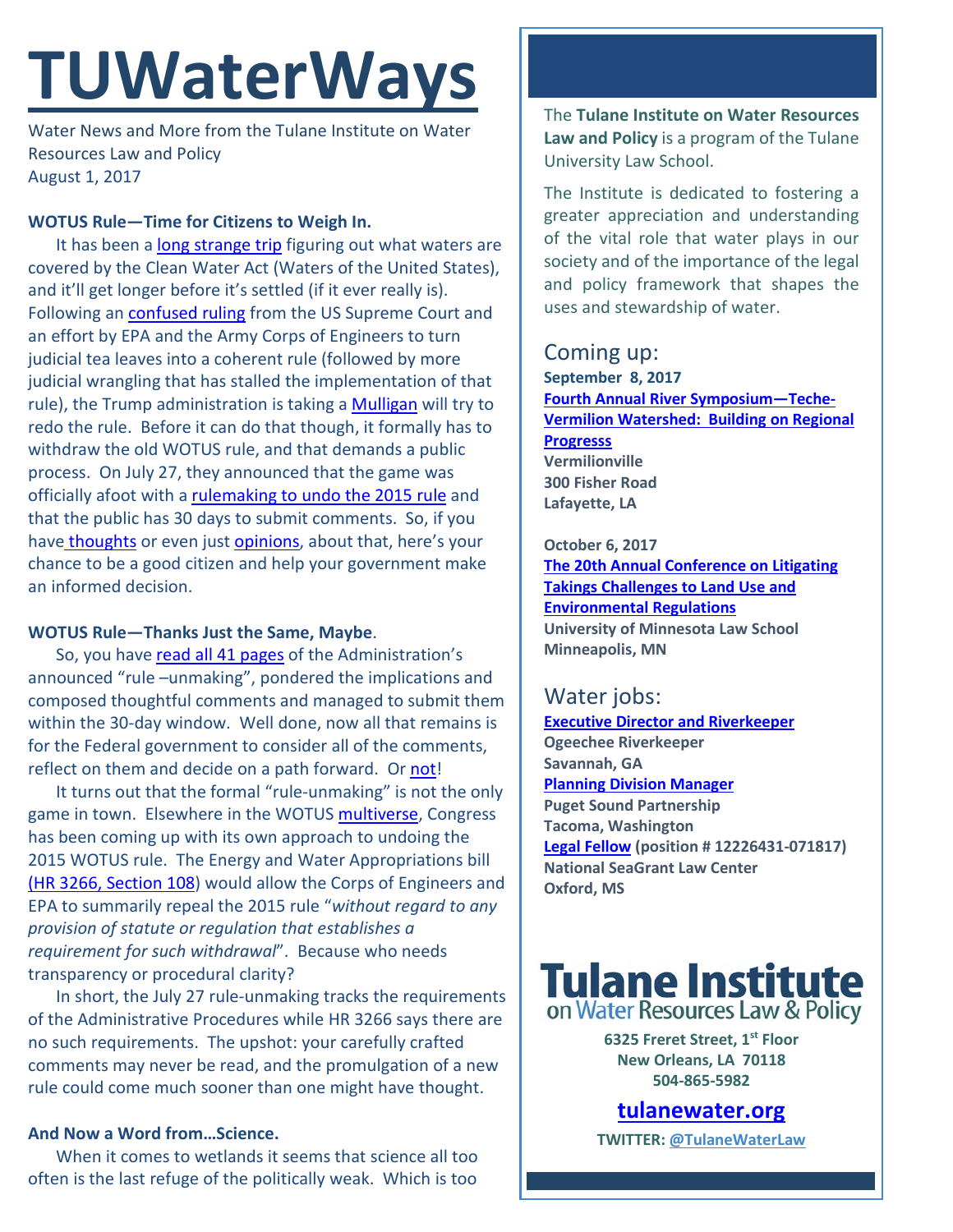# **TUWaterWays**

Water News and More from the Tulane Institute on Water Resources Law and Policy August 1, 2017

#### **WOTUS Rule—Time for Citizens to Weigh In.**

It has been a [long strange trip](https://www.rollingstone.com/music/lists/grateful-dead-doc-long-strange-trip-10-things-we-learned-w483947) figuring out what waters are covered by the Clean Water Act (Waters of the United States), and it'll get longer before it's settled (if it ever really is). Following an [confused ruling](https://www.law.cornell.edu/supct/html/04-1034.ZS.html) from the US Supreme Court and an effort by EPA and the Army Corps of Engineers to turn judicial tea leaves into a coherent rule (followed by more judicial wrangling that has stalled the implementation of that rule), the Trump administration is taking a [Mulligan](http://www.pga.com/news/golf-buzz/how-mulligan-got-its-name) will try to redo the rule. Before it can do that though, it formally has to withdraw the old WOTUS rule, and that demands a public process. On July 27, they announced that the game was officially afoot with a [rulemaking to undo the 2015 rule](https://www.epa.gov/sites/production/files/2017-07/documents/2017-13997.pdf) and that the public has 30 days to submit comments. So, if you have [thoughts](https://www.youtube.com/watch?v=8lLRwVzk7sA) or even jus[t opinions,](https://www.youtube.com/watch?v=9U0OqJqNbbs) about that, here's your chance to be a good citizen and help your government make an informed decision.

## **WOTUS Rule—Thanks Just the Same, Maybe**.

So, you have read all [41 pages](https://media.giphy.com/media/ZztnK1MIUAcuI/giphy.gif) of the Administration's announced "rule –unmaking", pondered the implications and composed thoughtful comments and managed to submit them within the 30-day window. Well done, now all that remains is for the Federal government to consider all of the comments, reflect on them and decide on a path forward. Or [not!](http://www.vulture.com/2017/02/mike-myers-talks-waynes-world-not-joke-snl-trump.html)

It turns out that the formal "rule-unmaking" is not the only game in town. Elsewhere in the WOTUS [multiverse,](https://www.theguardian.com/science/across-the-universe/2017/may/17/multiverse-have-astronomers-found-evidence-of-parallel-universes) Congress has been coming up with its own approach to undoing the 2015 WOTUS rule. The Energy and Water Appropriations bill [\(HR 3266, Section 108\)](https://www.congress.gov/bill/115th-congress/house-bill/3266/text) would allow the Corps of Engineers and EPA to summarily repeal the 2015 rule "*without regard to any provision of statute or regulation that establishes a requirement for such withdrawal*". Because who needs transparency or procedural clarity?

In short, the July 27 rule-unmaking tracks the requirements of the Administrative Procedures while HR 3266 says there are no such requirements. The upshot: your carefully crafted comments may never be read, and the promulgation of a new rule could come much sooner than one might have thought.

## **And Now a Word from…Science.**

When it comes to wetlands it seems that science all too often is the last refuge of the politically weak. Which is too The **Tulane Institute on Water Resources Law and Policy** is a program of the Tulane University Law School.

The Institute is dedicated to fostering a greater appreciation and understanding of the vital role that water plays in our society and of the importance of the legal and policy framework that shapes the uses and stewardship of water.

# Coming up:

**September 8, 2017 [Fourth Annual River Symposium—Teche-](https://www.eventbrite.com/e/symposium-teche-vermilion-watershed-building-on-regional-progress-tickets-27041868958)[Vermilion Watershed: Building on Regional](https://www.eventbrite.com/e/symposium-teche-vermilion-watershed-building-on-regional-progress-tickets-27041868958)  [Progresss](https://www.eventbrite.com/e/symposium-teche-vermilion-watershed-building-on-regional-progress-tickets-27041868958) Vermilionville 300 Fisher Road Lafayette, LA**

#### **October 6, 2017**

**[The 20th Annual Conference on Litigating](http://www.vermontlaw.edu/news-and-events/events/takings-conference-details)  [Takings Challenges to Land Use and](http://www.vermontlaw.edu/news-and-events/events/takings-conference-details)  [Environmental Regulations](http://www.vermontlaw.edu/news-and-events/events/takings-conference-details) University of Minnesota Law School Minneapolis, MN**

## Water jobs:

**[Executive Director and Riverkeeper](http://www.joshswaterjobs.com/jobs/4742)  Ogeechee Riverkeeper Savannah, GA [Planning Division Manager](https://www.governmentjobs.com/careers/washington/jobs/1673775/planning-division-manager-ems3) Puget Sound Partnership Tacoma, Washington [Legal Fellow](https://jobs.olemiss.edu/) (position # 12226431-071817) National SeaGrant Law Center Oxford, MS** 



**6325 Freret Street, 1st Floor New Orleans, LA 70118 504-865-5982** 

# **tulanewater.org**

**TWITTER: [@TulaneWaterLaw](http://www.twitter.com/TulaneWaterLaw)**